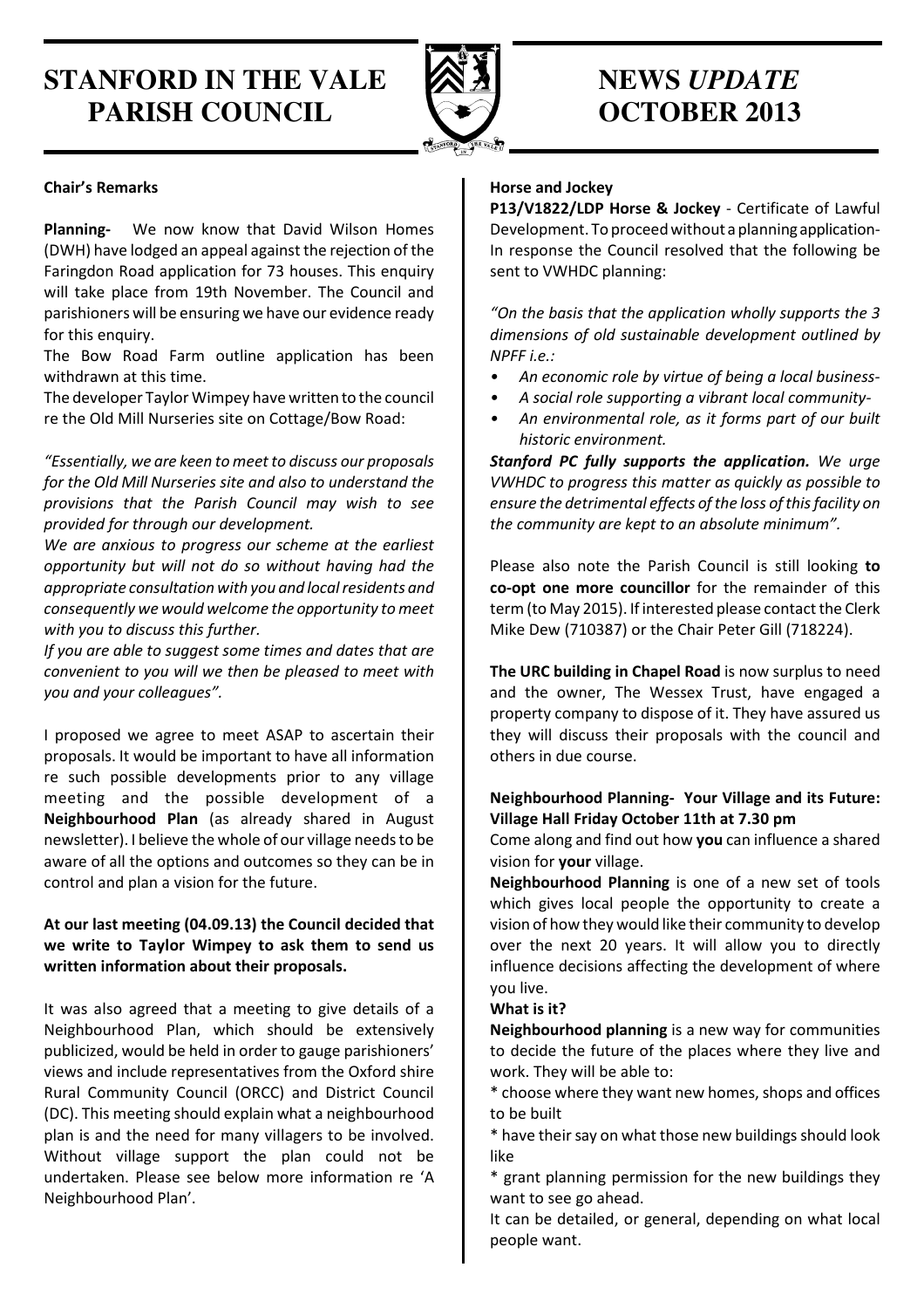# **STANFORD IN THE VALE**  $\otimes$  **3 MEWS UPDATE PARISH COUNCIL COUNCIL COUNCIL COUNCIL COUNCIL**



## Chair's Remarks

Planning- We now know that David Wilson Homes (DWH) have lodged an appeal against the rejection of the Faringdon Road application for 73 houses. This enquiry will take place from 19th November. The Council and parishioners will be ensuring we have our evidence ready for this enquiry.

The Bow Road Farm outline application has been withdrawn at this time.

The developer Taylor Wimpey have written to the council re the Old Mill Nurseries site on Cottage/Bow Road:

"Essentially, we are keen to meet to discuss our proposals for the Old Mill Nurseries site and also to understand the provisions that the Parish Council may wish to see provided for through our development.

We are anxious to progress our scheme at the earliest opportunity but will not do so without having had the appropriate consultation with you and local residents and consequently we would welcome the opportunity to meet with you to discuss this further.

If you are able to suggest some times and dates that are convenient to you will we then be pleased to meet with you and your colleagues".

I proposed we agree to meet ASAP to ascertain their proposals. It would be important to have all information re such possible developments prior to any village meeting and the possible development of a Neighbourhood Plan (as already shared in August newsletter). I believe the whole of our village needs to be aware of all the options and outcomes so they can be in control and plan a vision for the future.

## At our last meeting (04.09.13) the Council decided that we write to Taylor Wimpey to ask them to send us written information about their proposals.

It was also agreed that a meeting to give details of a Neighbourhood Plan, which should be extensively publicized, would be held in order to gauge parishioners' views and include representatives from the Oxford shire Rural Community Council (ORCC) and District Council (DC). This meeting should explain what a neighbourhood plan is and the need for many villagers to be involved. Without village support the plan could not be undertaken. Please see below more information re 'A Neighbourhood Plan'.

## Horse and Jockey

P13/V1822/LDP Horse & Jockey - Certificate of Lawful Development. To proceed without a planning application-In response the Council resolved that the following be sent to VWHDC planning:

"On the basis that the application wholly supports the 3 dimensions of old sustainable development outlined by NPFF i.e.:

- An economic role by virtue of being a local business-
- A social role supporting a vibrant local community-
- An environmental role, as it forms part of our built historic environment.

Stanford PC fully supports the application. We urge VWHDC to progress this matter as quickly as possible to ensure the detrimental effects of the loss of this facility on the community are kept to an absolute minimum".

Please also note the Parish Council is still looking to co-opt one more councillor for the remainder of this term (to May 2015). If interested please contact the Clerk Mike Dew (710387) or the Chair Peter Gill (718224).

The URC building in Chapel Road is now surplus to need and the owner, The Wessex Trust, have engaged a property company to dispose of it. They have assured us they will discuss their proposals with the council and others in due course.

#### Neighbourhood Planning- Your Village and its Future: Village Hall Friday October 11th at 7.30 pm

Come along and find out how you can influence a shared vision for **your** village.

Neighbourhood Planning is one of a new set of tools which gives local people the opportunity to create a vision of how they would like their community to develop over the next 20 years. It will allow you to directly influence decisions affecting the development of where you live.

#### What is it?

Neighbourhood planning is a new way for communities to decide the future of the places where they live and work. They will be able to:

\* choose where they want new homes, shops and offices to be built

\* have their say on what those new buildings should look like

\* grant planning permission for the new buildings they want to see go ahead.

It can be detailed, or general, depending on what local people want.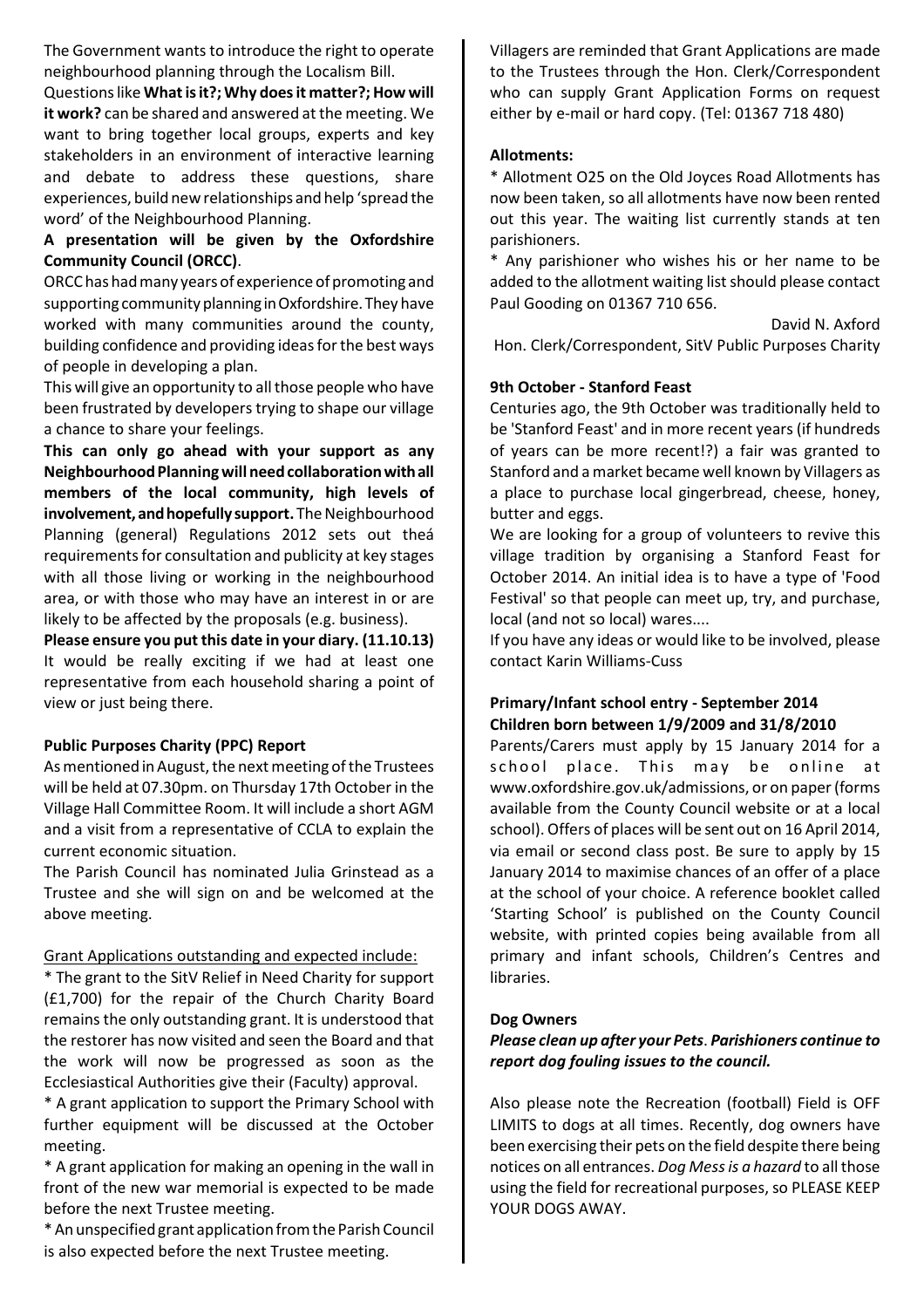The Government wants to introduce the right to operate neighbourhood planning through the Localism Bill.

Questions like What is it?; Why does it matter?; How will it work? can be shared and answered at the meeting. We want to bring together local groups, experts and key stakeholders in an environment of interactive learning and debate to address these questions, share experiences, build new relationships and help 'spread the word' of the Neighbourhood Planning.

# A presentation will be given by the Oxfordshire Community Council (ORCC).

ORCC has had many years of experience of promoting and supporting community planning in Oxfordshire. They have worked with many communities around the county, building confidence and providing ideas for the best ways of people in developing a plan.

This will give an opportunity to all those people who have been frustrated by developers trying to shape our village a chance to share your feelings.

This can only go ahead with your support as any Neighbourhood Planning will need collaboration with all members of the local community, high levels of involvement, and hopefully support. The Neighbourhood Planning (general) Regulations 2012 sets out theá requirements for consultation and publicity at key stages with all those living or working in the neighbourhood area, or with those who may have an interest in or are likely to be affected by the proposals (e.g. business).

Please ensure you put this date in your diary. (11.10.13) It would be really exciting if we had at least one representative from each household sharing a point of view or just being there.

#### Public Purposes Charity (PPC) Report

As mentioned in August, the next meeting of the Trustees will be held at 07.30pm. on Thursday 17th October in the Village Hall Committee Room. It will include a short AGM and a visit from a representative of CCLA to explain the current economic situation.

The Parish Council has nominated Julia Grinstead as a Trustee and she will sign on and be welcomed at the above meeting.

#### Grant Applications outstanding and expected include:

\* The grant to the SitV Relief in Need Charity for support (£1,700) for the repair of the Church Charity Board remains the only outstanding grant. It is understood that the restorer has now visited and seen the Board and that the work will now be progressed as soon as the Ecclesiastical Authorities give their (Faculty) approval.

\* A grant application to support the Primary School with further equipment will be discussed at the October meeting.

\* A grant application for making an opening in the wall in front of the new war memorial is expected to be made before the next Trustee meeting.

\* An unspecified grant application from the Parish Council is also expected before the next Trustee meeting.

Villagers are reminded that Grant Applications are made to the Trustees through the Hon. Clerk/Correspondent who can supply Grant Application Forms on request either by e-mail or hard copy. (Tel: 01367 718 480)

#### Allotments:

\* Allotment O25 on the Old Joyces Road Allotments has now been taken, so all allotments have now been rented out this year. The waiting list currently stands at ten parishioners.

\* Any parishioner who wishes his or her name to be added to the allotment waiting list should please contact Paul Gooding on 01367 710 656.

David N. Axford

Hon. Clerk/Correspondent, SitV Public Purposes Charity

#### 9th October - Stanford Feast

Centuries ago, the 9th October was traditionally held to be 'Stanford Feast' and in more recent years (if hundreds of years can be more recent!?) a fair was granted to Stanford and a market became well known by Villagers as a place to purchase local gingerbread, cheese, honey, butter and eggs.

We are looking for a group of volunteers to revive this village tradition by organising a Stanford Feast for October 2014. An initial idea is to have a type of 'Food Festival' so that people can meet up, try, and purchase, local (and not so local) wares....

If you have any ideas or would like to be involved, please contact Karin Williams-Cuss

#### Primary/Infant school entry - September 2014 Children born between 1/9/2009 and 31/8/2010

Parents/Carers must apply by 15 January 2014 for a school place. This may be online at www.oxfordshire.gov.uk/admissions, or on paper (forms available from the County Council website or at a local school). Offers of places will be sent out on 16 April 2014, via email or second class post. Be sure to apply by 15 January 2014 to maximise chances of an offer of a place at the school of your choice. A reference booklet called 'Starting School' is published on the County Council website, with printed copies being available from all primary and infant schools, Children's Centres and libraries.

#### Dog Owners

#### Please clean up after your Pets. Parishioners continue to report dog fouling issues to the council.

Also please note the Recreation (football) Field is OFF LIMITS to dogs at all times. Recently, dog owners have been exercising their pets on the field despite there being notices on all entrances. Dog Mess is a hazard to all those using the field for recreational purposes, so PLEASE KEEP YOUR DOGS AWAY.